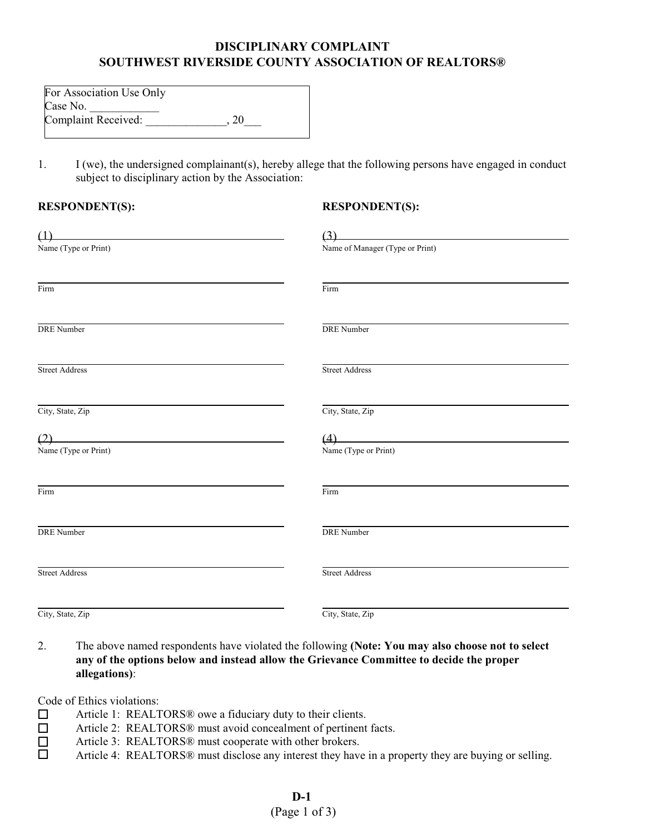## **DISCIPLINARY COMPLAINT SOUTHWEST RIVERSIDE COUNTY ASSOCIATION OF REALTORS®**

| For Association Use Only |    |
|--------------------------|----|
| Case No.                 |    |
| Complaint Received:      | 20 |

1. I (we), the undersigned complainant(s), hereby allege that the following persons have engaged in conduct subject to disciplinary action by the Association:

## **RESPONDENT(S):**

## **RESPONDENT(S):**

| $\overline{u}$              | (3)                             |  |
|-----------------------------|---------------------------------|--|
| Name (Type or Print)        | Name of Manager (Type or Print) |  |
| Firm                        | Firm                            |  |
| <b>DRE</b> Number           | <b>DRE</b> Number               |  |
| <b>Street Address</b>       | <b>Street Address</b>           |  |
| City, State, Zip            | City, State, Zip                |  |
| (2)<br>Name (Type or Print) | (4)<br>Name (Type or Print)     |  |
| Firm                        | Firm                            |  |
| <b>DRE</b> Number           | <b>DRE</b> Number               |  |
| <b>Street Address</b>       | <b>Street Address</b>           |  |
| City, State, Zip            | City, State, Zip                |  |

2. The above named respondents have violated the following **(Note: You may also choose not to select any of the options below and instead allow the Grievance Committee to decide the proper allegations)**:

Code of Ethics violations:

- □ Article 1: REALTORS<sup>®</sup> owe a fiduciary duty to their clients.
- □ Article 2: REALTORS<sup>®</sup> must avoid concealment of pertinent facts.<br>□ Article 3: REALTORS<sup>®</sup> must cooperate with other brokers.
- $\Box$  Article 3: REALTORS® must cooperate with other brokers.<br> $\Box$  Article 4: REALTORS® must disclose any interest they have
- Article 4: REALTORS® must disclose any interest they have in a property they are buying or selling.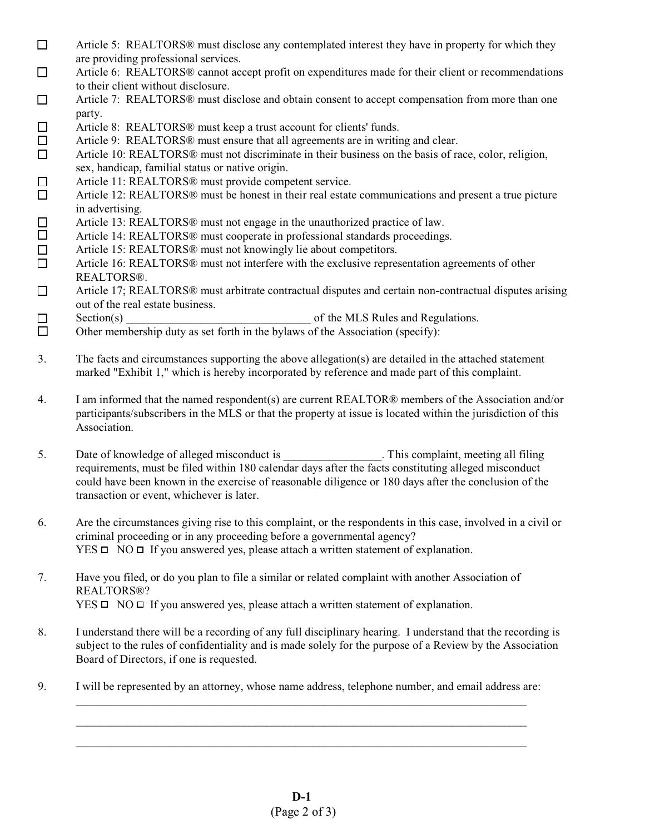- $\Box$  Article 5: REALTORS® must disclose any contemplated interest they have in property for which they are providing professional services.
- G Article 6: REALTORS® cannot accept profit on expenditures made for their client or recommendations to their client without disclosure.
- G Article 7: REALTORS® must disclose and obtain consent to accept compensation from more than one party.
- $\Box$  Article 8: REALTORS<sup>®</sup> must keep a trust account for clients' funds.
- $\Box$  Article 9: REALTORS® must ensure that all agreements are in writing and clear.
- G Article 10: REALTORS® must not discriminate in their business on the basis of race, color, religion, sex, handicap, familial status or native origin.
- □ Article 11: REALTORS<sup>®</sup> must provide competent service.
- $\Box$  Article 12: REALTORS<sup>®</sup> must be honest in their real estate communications and present a true picture in advertising.
- □ Article 13: REALTORS<sup>®</sup> must not engage in the unauthorized practice of law.<br>□ Article 14: REALTORS® must cooperate in professional standards proceedings
	- Article 14: REALTORS® must cooperate in professional standards proceedings.
- $\Box$  Article 15: REALTORS<sup>®</sup> must not knowingly lie about competitors.<br>  $\Box$  Article 16: REALTORS<sup>®</sup> must not interfere with the exclusive repres
- Article 16: REALTORS<sup>®</sup> must not interfere with the exclusive representation agreements of other REALTORS®.
- $\Box$  Article 17; REALTORS<sup>®</sup> must arbitrate contractual disputes and certain non-contractual disputes arising out of the real estate business.
- G Section(s) \_\_\_\_\_\_\_\_\_\_\_\_\_\_\_\_\_\_\_\_\_\_\_\_\_\_\_\_\_\_\_\_ of the MLS Rules and Regulations.
- $\Box$  Other membership duty as set forth in the bylaws of the Association (specify):
- 3. The facts and circumstances supporting the above allegation(s) are detailed in the attached statement marked "Exhibit 1," which is hereby incorporated by reference and made part of this complaint.
- 4. I am informed that the named respondent(s) are current REALTOR® members of the Association and/or participants/subscribers in the MLS or that the property at issue is located within the jurisdiction of this Association.
- 5. Date of knowledge of alleged misconduct is \_\_\_\_\_\_\_\_\_\_\_\_\_\_\_\_. This complaint, meeting all filing requirements, must be filed within 180 calendar days after the facts constituting alleged misconduct could have been known in the exercise of reasonable diligence or 180 days after the conclusion of the transaction or event, whichever is later.
- 6. Are the circumstances giving rise to this complaint, or the respondents in this case, involved in a civil or criminal proceeding or in any proceeding before a governmental agency?  $YES \Box NO \Box If you answered yes, please attach a written statement of explanation.$
- 7. Have you filed, or do you plan to file a similar or related complaint with another Association of REALTORS®?  $YES \Box NO \Box If you answered yes, please attach a written statement of explanation.$
- 8. I understand there will be a recording of any full disciplinary hearing. I understand that the recording is subject to the rules of confidentiality and is made solely for the purpose of a Review by the Association Board of Directors, if one is requested.

\_\_\_\_\_\_\_\_\_\_\_\_\_\_\_\_\_\_\_\_\_\_\_\_\_\_\_\_\_\_\_\_\_\_\_\_\_\_\_\_\_\_\_\_\_\_\_\_\_\_\_\_\_\_\_\_\_\_\_\_\_\_\_\_\_\_\_\_\_\_\_\_\_\_\_\_\_\_ \_\_\_\_\_\_\_\_\_\_\_\_\_\_\_\_\_\_\_\_\_\_\_\_\_\_\_\_\_\_\_\_\_\_\_\_\_\_\_\_\_\_\_\_\_\_\_\_\_\_\_\_\_\_\_\_\_\_\_\_\_\_\_\_\_\_\_\_\_\_\_\_\_\_\_\_\_\_ \_\_\_\_\_\_\_\_\_\_\_\_\_\_\_\_\_\_\_\_\_\_\_\_\_\_\_\_\_\_\_\_\_\_\_\_\_\_\_\_\_\_\_\_\_\_\_\_\_\_\_\_\_\_\_\_\_\_\_\_\_\_\_\_\_\_\_\_\_\_\_\_\_\_\_\_\_\_

9. I will be represented by an attorney, whose name address, telephone number, and email address are: